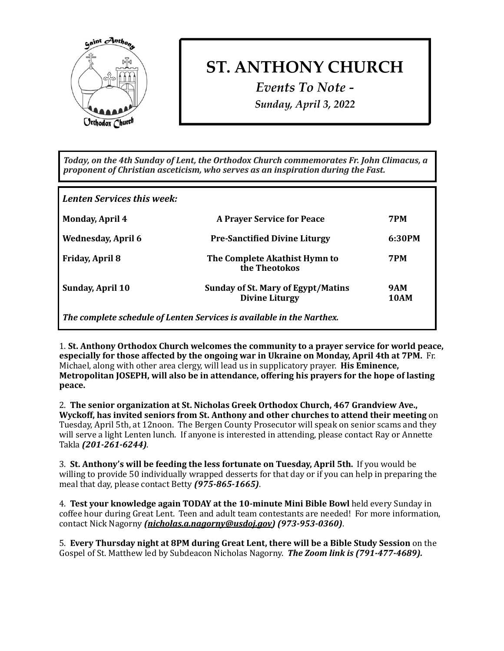

## **ST. ANTHONY CHURCH**

*Events To Note - Sunday, April 3, 2022*

Today, on the 4th Sunday of Lent, the Orthodox Church commemorates Fr. John Climacus, a proponent of Christian asceticism, who serves as an inspiration during the Fast.

| <b>Lenten Services this week:</b>                                     |                                                                    |                    |
|-----------------------------------------------------------------------|--------------------------------------------------------------------|--------------------|
| <b>Monday, April 4</b>                                                | <b>A Prayer Service for Peace</b>                                  | <b>7PM</b>         |
| <b>Wednesday, April 6</b>                                             | <b>Pre-Sanctified Divine Liturgy</b>                               | 6:30PM             |
| <b>Friday, April 8</b>                                                | The Complete Akathist Hymn to<br>the Theotokos                     | <b>7PM</b>         |
| <b>Sunday, April 10</b>                                               | <b>Sunday of St. Mary of Egypt/Matins</b><br><b>Divine Liturgy</b> | 9AM<br><b>10AM</b> |
| The complete schedule of Lenten Services is available in the Narthex. |                                                                    |                    |

1. St. Anthony Orthodox Church welcomes the community to a prayer service for world peace, **especially for those affected by the ongoing war in Ukraine on Monday, April 4th at 7PM.** Fr. Michael, along with other area clergy, will lead us in supplicatory prayer. His Eminence, Metropolitan JOSEPH, will also be in attendance, offering his prayers for the hope of lasting **peace.** 

2. The senior organization at St. Nicholas Greek Orthodox Church, 467 Grandview Ave., **Wyckoff, has invited seniors from St. Anthony and other churches to attend their meeting on** Tuesday, April 5th, at 12noon. The Bergen County Prosecutor will speak on senior scams and they will serve a light Lenten lunch. If anyone is interested in attending, please contact Ray or Annette Takla *(201-261-6244)*. 

**3.** St. Anthony's will be feeding the less fortunate on Tuesday, April 5th. If you would be willing to provide 50 individually wrapped desserts for that day or if you can help in preparing the meal that day, please contact Betty (975-865-1665).

4. **Test your knowledge again TODAY at the 10-minute Mini Bible Bowl** held every Sunday in coffee hour during Great Lent. Teen and adult team contestants are needed! For more information, contact Nick Nagorny *[\(nicholas.a.nagorny@usdoj.gov](mailto:nicholas.a.nagorny@usdoj.gov))* (973-953-0360).

5. **Every Thursday night at 8PM during Great Lent, there will be a Bible Study Session** on the Gospel of St. Matthew led by Subdeacon Nicholas Nagorny. **The Zoom link is (791-477-4689).**